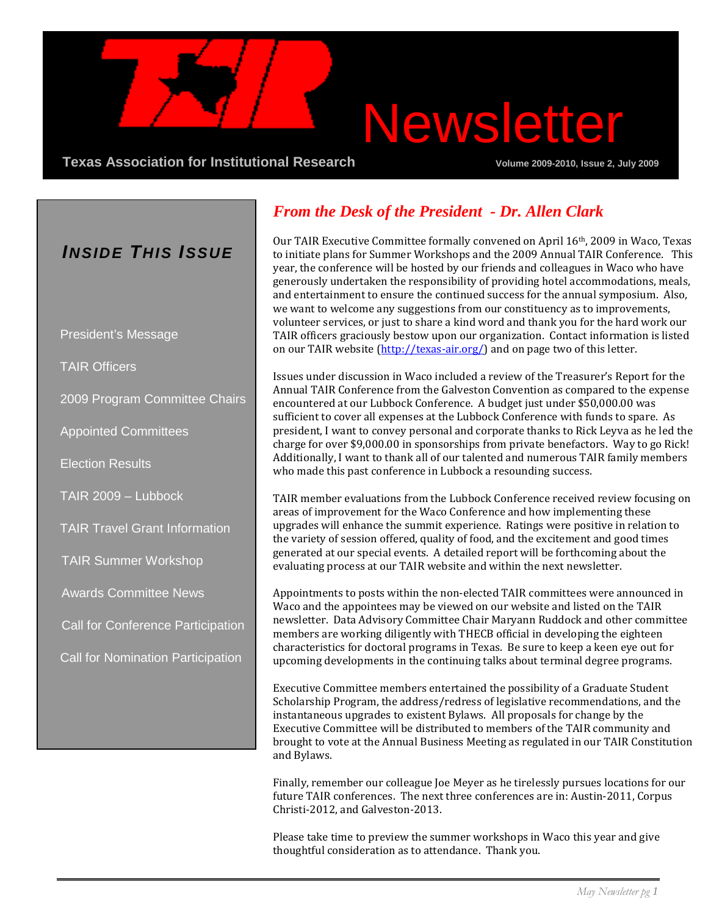# Newsletter

**Texas Association for Institutional Research Community Community Volume 2009-2010, Issue 2, July 2009** 

### *INSIDE THIS ISSUE*

President's Message

TAIR Officers

2009 Program Committee Chairs

Appointed Committees

Election Results

TAIR 2009 – Lubbock

TAIR Travel Grant Information

TAIR Summer Workshop

Awards Committee News

Call for Conference Participation

Call for Nomination Participation

### *From the Desk of the President - Dr. Allen Clark*

Our TAIR Executive Committee formally convened on April 16th, 2009 in Waco, Texas to initiate plans for Summer Workshops and the 2009 Annual TAIR Conference. This year, the conference will be hosted by our friends and colleagues in Waco who have generously undertaken the responsibility of providing hotel accommodations, meals, and entertainment to ensure the continued success for the annual symposium. Also, we want to welcome any suggestions from our constituency as to improvements, volunteer services, or just to share a kind word and thank you for the hard work our TAIR officers graciously bestow upon our organization. Contact information is listed on our TAIR website [\(http://texas-air.org/\)](http://texas-air.org/) and on page two of this letter.

Issues under discussion in Waco included a review of the Treasurer's Report for the Annual TAIR Conference from the Galveston Convention as compared to the expense encountered at our Lubbock Conference. A budget just under \$50,000.00 was sufficient to cover all expenses at the Lubbock Conference with funds to spare. As president, I want to convey personal and corporate thanks to Rick Leyva as he led the charge for over \$9,000.00 in sponsorships from private benefactors. Way to go Rick! Additionally, I want to thank all of our talented and numerous TAIR family members who made this past conference in Lubbock a resounding success.

TAIR member evaluations from the Lubbock Conference received review focusing on areas of improvement for the Waco Conference and how implementing these upgrades will enhance the summit experience. Ratings were positive in relation to the variety of session offered, quality of food, and the excitement and good times generated at our special events. A detailed report will be forthcoming about the evaluating process at our TAIR website and within the next newsletter.

Appointments to posts within the non-elected TAIR committees were announced in Waco and the appointees may be viewed on our website and listed on the TAIR newsletter. Data Advisory Committee Chair Maryann Ruddock and other committee members are working diligently with THECB official in developing the eighteen characteristics for doctoral programs in Texas. Be sure to keep a keen eye out for upcoming developments in the continuing talks about terminal degree programs.

Executive Committee members entertained the possibility of a Graduate Student Scholarship Program, the address/redress of legislative recommendations, and the instantaneous upgrades to existent Bylaws. All proposals for change by the Executive Committee will be distributed to members of the TAIR community and brought to vote at the Annual Business Meeting as regulated in our TAIR Constitution and Bylaws.

Finally, remember our colleague Joe Meyer as he tirelessly pursues locations for our future TAIR conferences. The next three conferences are in: Austin-2011, Corpus Christi-2012, and Galveston-2013.

Please take time to preview the summer workshops in Waco this year and give thoughtful consideration as to attendance. Thank you.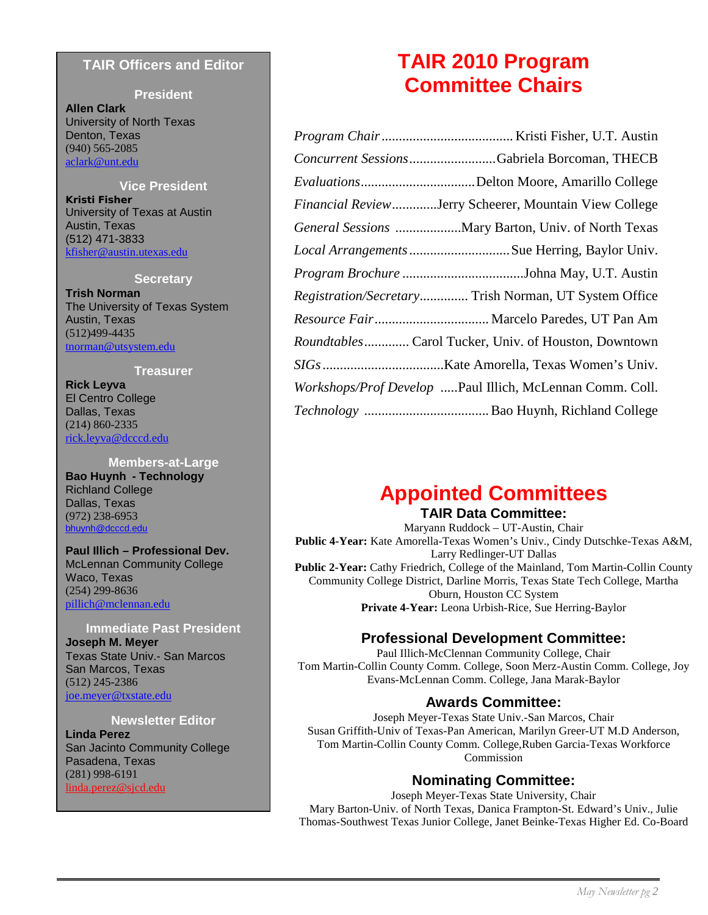#### **TAIR Officers and Editor**

#### **President**

**Allen Clark** University of North Texas Denton, Texas (940) 565-2085 [aclark@unt.edu](mailto:raclark@unt.edu)

#### **Vice President**

**Kristi Fisher** University of Texas at Austin Austin, Texas (512) 471-3833 [kfisher@austin.utexas.edu](mailto:kfisher@austin.utexas.edu)

#### **Secretary**

**Trish Norman** The University of Texas System Austin, Texas (512)499-4435 [tnorman@utsystem.edu](mailto:tnorman@utsystem.edu)

#### **Treasurer**

**Rick Leyva** El Centro College Dallas, Texas (214) 860-2335 [rick.leyva@dcccd.edu](mailto:rick.leyva@dcccd.edu)

#### **Members-at-Large Bao Huynh - Technology** Richland College Dallas, Texas (972) 238-6953 [bhuynh@dcccd.edu](mailto:bhuynh@dcccd.edu)

**Paul Illich – Professional Dev.** McLennan Community College Waco, Texas (254) 299-8636 [pillich@mclennan.edu](mailto:pillich@mclennan.edu)

#### **Immediate Past President Joseph M. Meyer** Texas State Univ.- San Marcos San Marcos, Texas (512) 245-2386 [joe.meyer@txstate.edu](mailto:joe.meyer@txstate.edu)

#### **Newsletter Editor**

**Linda Perez** San Jacinto Community College Pasadena, Texas (281) 998-6191 [linda.perez@sjcd.edu](mailto:linda.perez@sjcd.edu)

### **TAIR 2010 Program Committee Chairs**

| Concurrent SessionsGabriela Borcoman, THECB              |
|----------------------------------------------------------|
| EvaluationsDelton Moore, Amarillo College                |
| Financial ReviewJerry Scheerer, Mountain View College    |
| General Sessions  Mary Barton, Univ. of North Texas      |
|                                                          |
|                                                          |
| Registration/Secretary Trish Norman, UT System Office    |
|                                                          |
| Roundtables Carol Tucker, Univ. of Houston, Downtown     |
|                                                          |
| Workshops/Prof Develop Paul Illich, McLennan Comm. Coll. |
|                                                          |

### **Appointed Committees**

#### **TAIR Data Committee:**

Maryann Ruddock – UT-Austin, Chair **Public 4-Year:** Kate Amorella-Texas Women's Univ., Cindy Dutschke-Texas A&M, Larry Redlinger-UT Dallas **Public 2-Year:** Cathy Friedrich, College of the Mainland, Tom Martin-Collin County Community College District, Darline Morris, Texas State Tech College, Martha Oburn, Houston CC System **Private 4-Year:** Leona Urbish-Rice, Sue Herring-Baylor

### **Professional Development Committee:**

Paul Illich-McClennan Community College, Chair Tom Martin-Collin County Comm. College, Soon Merz-Austin Comm. College, Joy Evans-McLennan Comm. College, Jana Marak-Baylor

#### **Awards Committee:**

Joseph Meyer-Texas State Univ.-San Marcos, Chair Susan Griffith-Univ of Texas-Pan American, Marilyn Greer-UT M.D Anderson, Tom Martin-Collin County Comm. College,Ruben Garcia-Texas Workforce Commission

#### **Nominating Committee:**

Joseph Meyer-Texas State University, Chair Mary Barton-Univ. of North Texas, Danica Frampton-St. Edward's Univ., Julie Thomas-Southwest Texas Junior College, Janet Beinke-Texas Higher Ed. Co-Board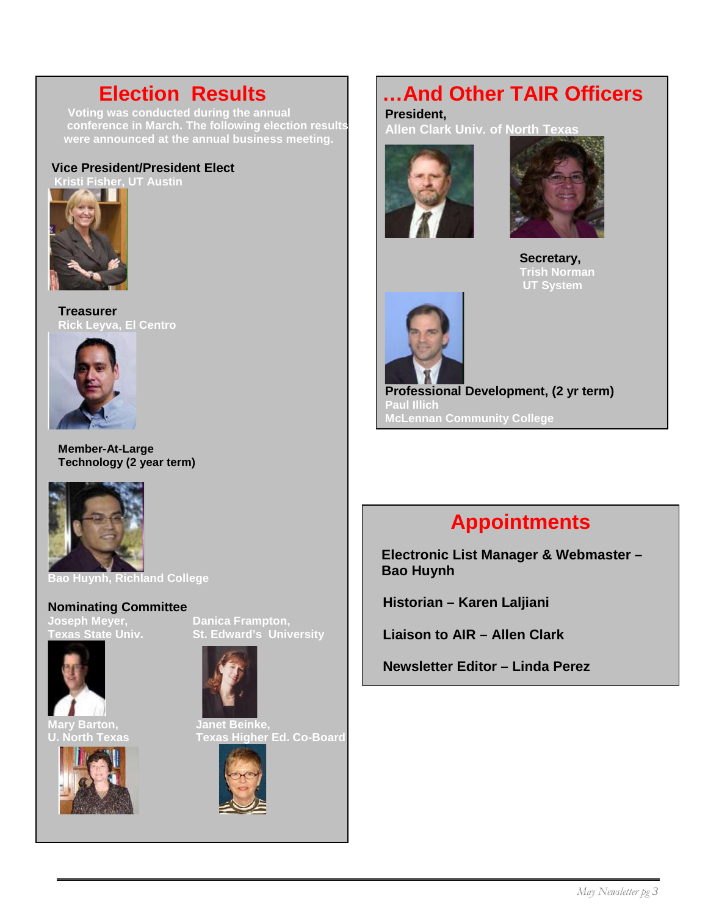**conference in March. The following election results were announced at the annual business meeting.** 

#### **Vice President/President Elect**



**Treasurer Rick Leyva, El Centro**



**Member-At-Large Technology (2 year term)**



**Bao Huynh, Richland College**

### **Nominating Committee**<br>Joseph Meyer,<br>Texas State Univ. **Joseph Meyer, Danica Frampton,**



**Mary Barton, Janet Beinke,**







**U. North Texas Texas Higher Ed. Co-Board** 



**Election Results ...And Other TAIR Officers**<br>Voting was conducted during the annual<br>President.

**President, Allen Clark Univ. of North Texas**





 **Secretary, Trish Norman UT System**



**Professional Development, (2 yr term) Paul Illich McLennan Community College**

### **Appointments**

**Electronic List Manager & Webmaster – Bao Huynh**

 **Historian – Karen Laljiani**

 **Liaison to AIR – Allen Clark**

 **Mary Barton,** 

 **Newsletter Editor – Linda Perez**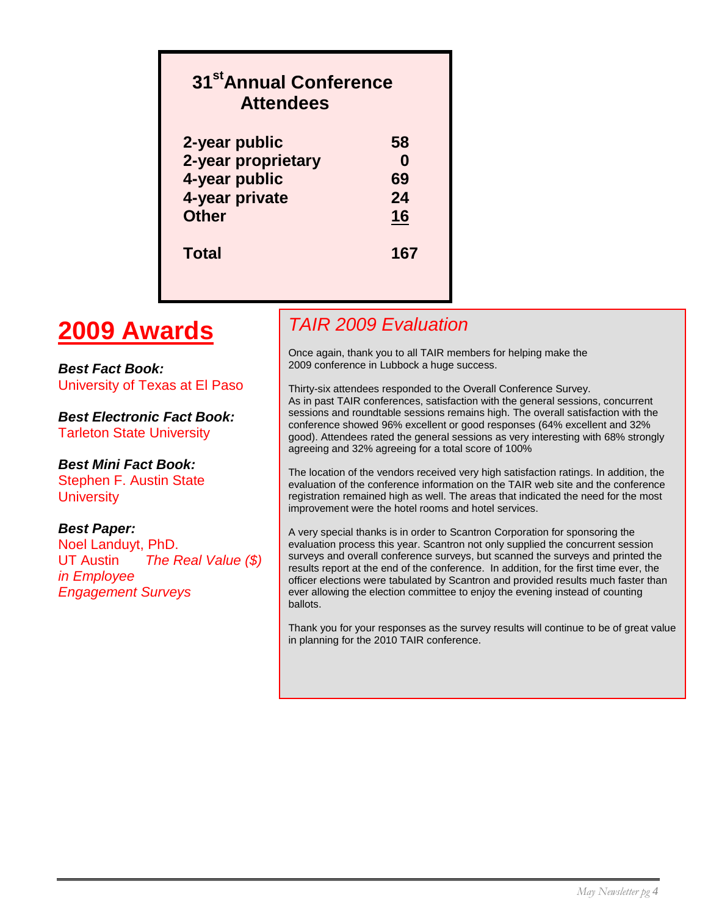### **31stAnnual Conference Attendees 2-year public 58 2-year proprietary 0 4-year public 69 4-year private 24 Other 16 Total 167**

### **2009 Awards**

*Best Fact Book:* University of Texas at El Paso

*Best Electronic Fact Book:* Tarleton State University

#### *Best Mini Fact Book:*

Stephen F. Austin State **University** 

#### *Best Paper:*

Noel Landuyt, PhD. UT Austin *The Real Value (\$) in Employee Engagement Surveys*

### *TAIR 2009 Evaluation*

Once again, thank you to all TAIR members for helping make the 2009 conference in Lubbock a huge success.

Thirty-six attendees responded to the Overall Conference Survey. As in past TAIR conferences, satisfaction with the general sessions, concurrent sessions and roundtable sessions remains high. The overall satisfaction with the conference showed 96% excellent or good responses (64% excellent and 32% good). Attendees rated the general sessions as very interesting with 68% strongly agreeing and 32% agreeing for a total score of 100%

The location of the vendors received very high satisfaction ratings. In addition, the evaluation of the conference information on the TAIR web site and the conference registration remained high as well. The areas that indicated the need for the most improvement were the hotel rooms and hotel services.

A very special thanks is in order to Scantron Corporation for sponsoring the evaluation process this year. Scantron not only supplied the concurrent session surveys and overall conference surveys, but scanned the surveys and printed the results report at the end of the conference. In addition, for the first time ever, the officer elections were tabulated by Scantron and provided results much faster than ever allowing the election committee to enjoy the evening instead of counting ballots.

Thank you for your responses as the survey results will continue to be of great value in planning for the 2010 TAIR conference.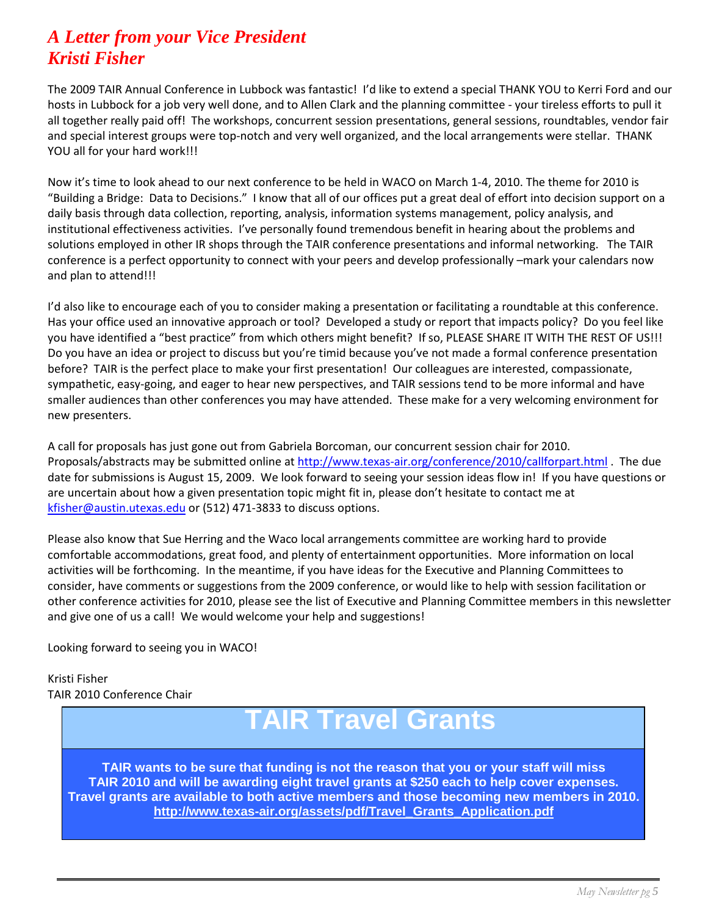### *A Letter from your Vice President Kristi Fisher*

The 2009 TAIR Annual Conference in Lubbock was fantastic! I'd like to extend a special THANK YOU to Kerri Ford and our hosts in Lubbock for a job very well done, and to Allen Clark and the planning committee - your tireless efforts to pull it all together really paid off! The workshops, concurrent session presentations, general sessions, roundtables, vendor fair and special interest groups were top-notch and very well organized, and the local arrangements were stellar. THANK YOU all for your hard work!!!

Now it's time to look ahead to our next conference to be held in WACO on March 1-4, 2010. The theme for 2010 is "Building a Bridge: Data to Decisions." I know that all of our offices put a great deal of effort into decision support on a daily basis through data collection, reporting, analysis, information systems management, policy analysis, and institutional effectiveness activities. I've personally found tremendous benefit in hearing about the problems and solutions employed in other IR shops through the TAIR conference presentations and informal networking. The TAIR conference is a perfect opportunity to connect with your peers and develop professionally –mark your calendars now and plan to attend!!!

I'd also like to encourage each of you to consider making a presentation or facilitating a roundtable at this conference. Has your office used an innovative approach or tool? Developed a study or report that impacts policy? Do you feel like you have identified a "best practice" from which others might benefit? If so, PLEASE SHARE IT WITH THE REST OF US!!! Do you have an idea or project to discuss but you're timid because you've not made a formal conference presentation before? TAIR is the perfect place to make your first presentation! Our colleagues are interested, compassionate, sympathetic, easy-going, and eager to hear new perspectives, and TAIR sessions tend to be more informal and have smaller audiences than other conferences you may have attended. These make for a very welcoming environment for new presenters.

A call for proposals has just gone out from Gabriela Borcoman, our concurrent session chair for 2010. Proposals/abstracts may be submitted online at<http://www.texas-air.org/conference/2010/callforpart.html> . The due date for submissions is August 15, 2009. We look forward to seeing your session ideas flow in! If you have questions or are uncertain about how a given presentation topic might fit in, please don't hesitate to contact me at [kfisher@austin.utexas.edu](mailto:kfisher@austin.utexas.edu) or (512) 471-3833 to discuss options.

Please also know that Sue Herring and the Waco local arrangements committee are working hard to provide comfortable accommodations, great food, and plenty of entertainment opportunities. More information on local activities will be forthcoming. In the meantime, if you have ideas for the Executive and Planning Committees to consider, have comments or suggestions from the 2009 conference, or would like to help with session facilitation or other conference activities for 2010, please see the list of Executive and Planning Committee members in this newsletter and give one of us a call! We would welcome your help and suggestions!

Looking forward to seeing you in WACO!

Kristi Fisher TAIR 2010 Conference Chair

## **TAIR Travel Grants**

**TAIR wants to be sure that funding is not the reason that you or your staff will miss TAIR 2010 and will be awarding eight travel grants at \$250 each to help cover expenses. Travel grants are available to both active members and those becoming new members in 2010. [http://www.texas-air.org/assets/pdf/Travel\\_Grants\\_Application.pdf](http://www.texas-air.org/assets/pdf/Travel_Grants_Application.pdf)**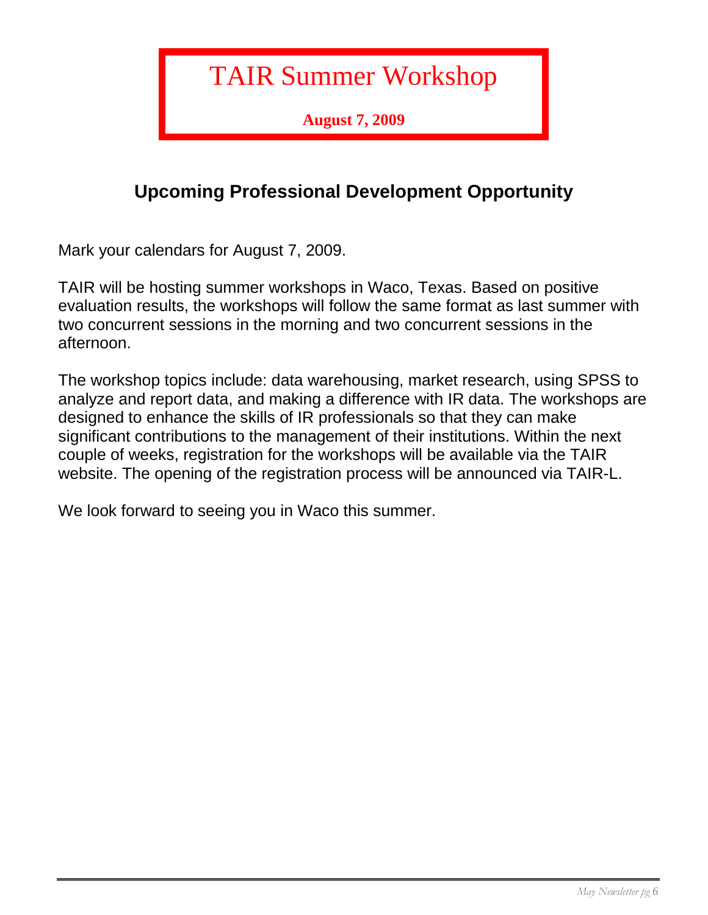## TAIR Summer Workshop

**August 7, 2009**

### **Upcoming Professional Development Opportunity**

Mark your calendars for August 7, 2009.

TAIR will be hosting summer workshops in Waco, Texas. Based on positive evaluation results, the workshops will follow the same format as last summer with two concurrent sessions in the morning and two concurrent sessions in the afternoon.

The workshop topics include: data warehousing, market research, using SPSS to analyze and report data, and making a difference with IR data. The workshops are designed to enhance the skills of IR professionals so that they can make significant contributions to the management of their institutions. Within the next couple of weeks, registration for the workshops will be available via the TAIR website. The opening of the registration process will be announced via TAIR-L.

We look forward to seeing you in Waco this summer.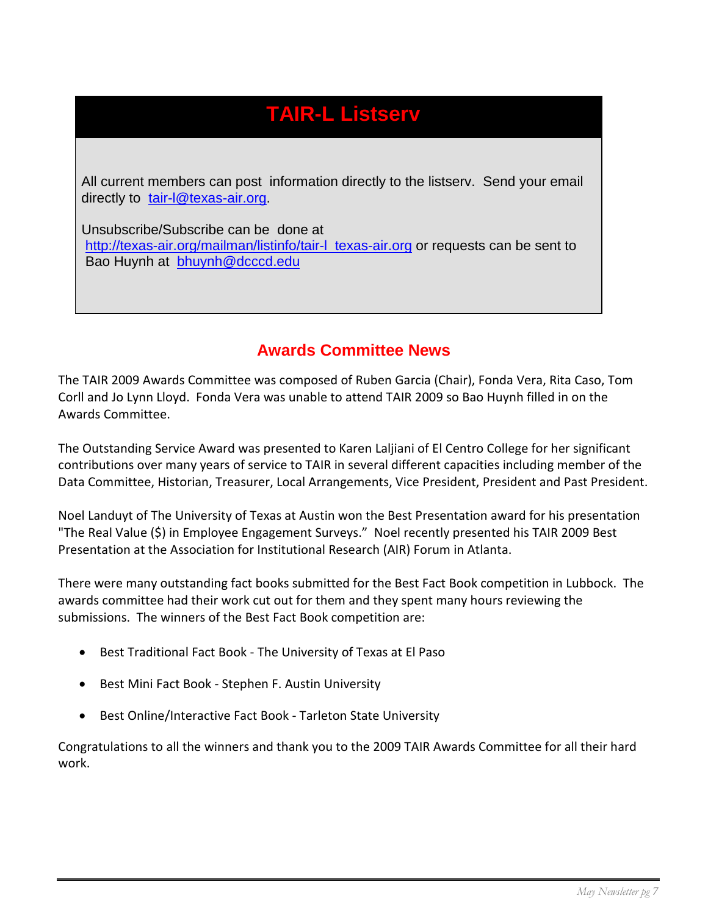### **TAIR-L Listserv**

 All current members can post information directly to the listserv. Send your email directly to [tair-l@texas-air.org.](mailto:tair-l@texas-air.org)

 Unsubscribe/Subscribe can be done at [http://texas-air.org/mailman/listinfo/tair-l\\_texas-air.org](http://texas-air.org/mailman/listinfo/tair-l_texas-air.org) or requests can be sent to Bao Huynh at [bhuynh@dcccd.edu](mailto:bhuynh@dcccd.edu)

### **Awards Committee News**

The TAIR 2009 Awards Committee was composed of Ruben Garcia (Chair), Fonda Vera, Rita Caso, Tom Corll and Jo Lynn Lloyd. Fonda Vera was unable to attend TAIR 2009 so Bao Huynh filled in on the Awards Committee.

The Outstanding Service Award was presented to Karen Laljiani of El Centro College for her significant contributions over many years of service to TAIR in several different capacities including member of the Data Committee, Historian, Treasurer, Local Arrangements, Vice President, President and Past President.

Noel Landuyt of The University of Texas at Austin won the Best Presentation award for his presentation "The Real Value (\$) in Employee Engagement Surveys." Noel recently presented his TAIR 2009 Best Presentation at the Association for Institutional Research (AIR) Forum in Atlanta.

There were many outstanding fact books submitted for the Best Fact Book competition in Lubbock. The awards committee had their work cut out for them and they spent many hours reviewing the submissions. The winners of the Best Fact Book competition are:

- Best Traditional Fact Book The University of Texas at El Paso
- Best Mini Fact Book Stephen F. Austin University
- Best Online/Interactive Fact Book Tarleton State University

Congratulations to all the winners and thank you to the 2009 TAIR Awards Committee for all their hard work.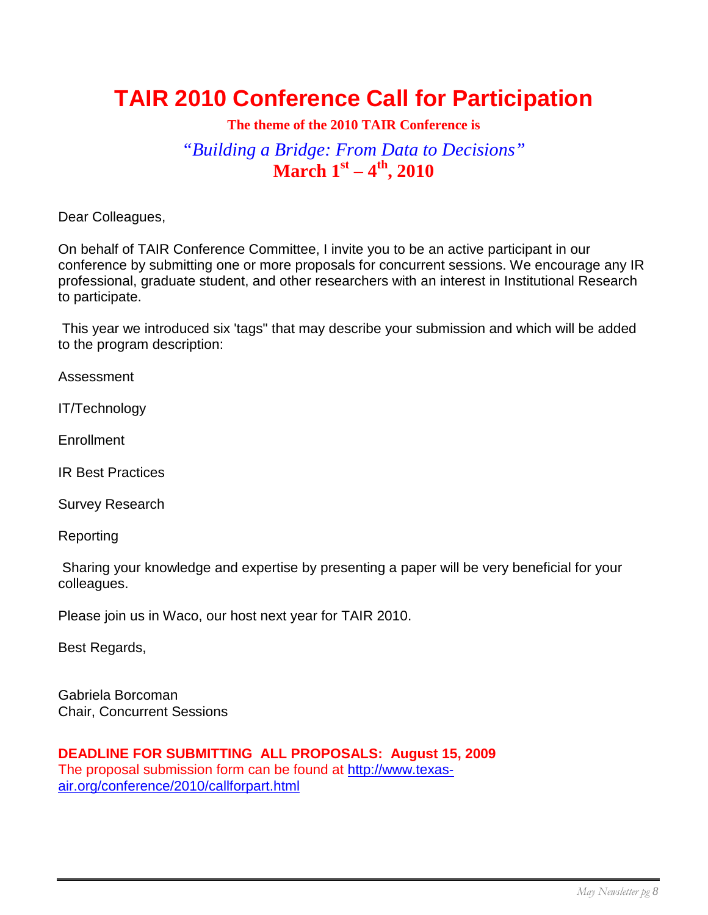### **TAIR 2010 Conference Call for Participation**

#### **The theme of the 2010 TAIR Conference is**

### *"Building a Bridge: From Data to Decisions"* **March 1st – 4th, 2010**

Dear Colleagues,

On behalf of TAIR Conference Committee, I invite you to be an active participant in our conference by submitting one or more proposals for concurrent sessions. We encourage any IR professional, graduate student, and other researchers with an interest in Institutional Research to participate.

This year we introduced six 'tags" that may describe your submission and which will be added to the program description:

Assessment

IT/Technology

**Enrollment** 

IR Best Practices

Survey Research

Reporting

Sharing your knowledge and expertise by presenting a paper will be very beneficial for your colleagues.

Please join us in Waco, our host next year for TAIR 2010.

Best Regards,

Gabriela Borcoman Chair, Concurrent Sessions

**DEADLINE FOR SUBMITTING ALL PROPOSALS: August 15, 2009** The proposal submission form can be found at [http://www.texas](http://www.texas-air.org/conference/2010/callforpart.html)[air.org/conference/2010/callforpart.html](http://www.texas-air.org/conference/2010/callforpart.html)